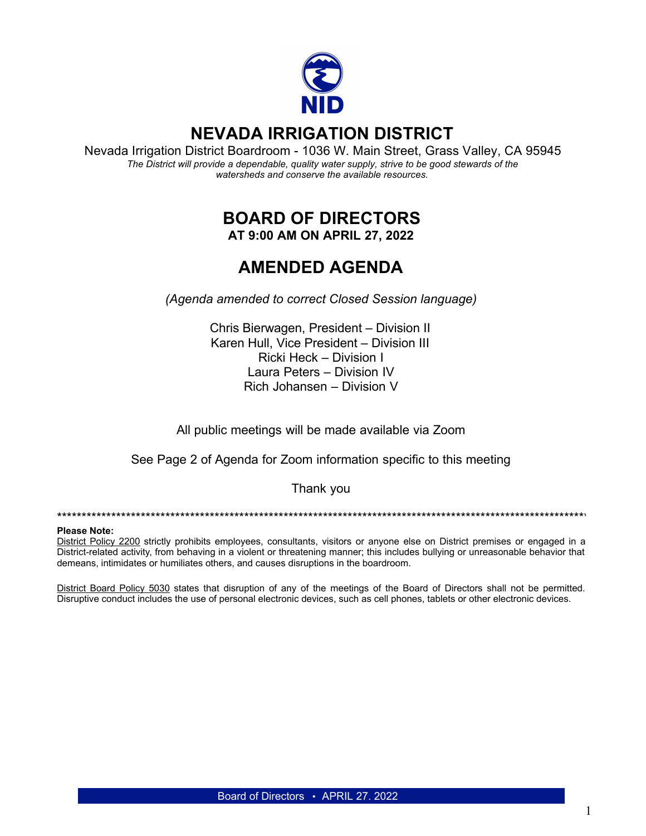

# **NEVADA IRRIGATION DISTRICT**

Nevada Irrigation District Boardroom - 1036 W. Main Street, Grass Valley, CA 95945 *The District will provide a dependable, quality water supply, strive to be good stewards of the watersheds and conserve the available resources.*

## **BOARD OF DIRECTORS AT 9:00 AM ON APRIL 27, 2022**

# **AMENDED AGENDA**

*(Agenda amended to correct Closed Session language)*

Chris Bierwagen, President – Division II Karen Hull, Vice President – Division III Ricki Heck – Division I Laura Peters – Division IV Rich Johansen – Division V

All public meetings will be made available via Zoom

See Page 2 of Agenda for Zoom information specific to this meeting

#### Thank you

\*\*\*\*\*\*\*\*\*\*\*\*\*\*\*\*\*\*\*\*\*\*\*\*\*\*\*\*\*\*\*\*\*\*\*\*\*\*\*\*\*\*\*\*\*\*\*\*\*\*\*\*\*\*\*\*\*\*\*\*\*\*\*\*\*\*\*\*\*\*\*\*\*\*\*\*\*\*\*\*\*\*\*\*\*\*\*\*\*\*\*\*\*\*\*\*\*\*\*\*\*\*\*\*\*\*\*\*\*\*\*\*\*\*\*\*\*\*\*\*\*\*\*\*\*\*\*\*

#### **Please Note:**

District Policy 2200 strictly prohibits employees, consultants, visitors or anyone else on District premises or engaged in a District-related activity, from behaving in a violent or threatening manner; this includes bullying or unreasonable behavior that demeans, intimidates or humiliates others, and causes disruptions in the boardroom.

District Board Policy 5030 states that disruption of any of the meetings of the Board of Directors shall not be permitted. Disruptive conduct includes the use of personal electronic devices, such as cell phones, tablets or other electronic devices.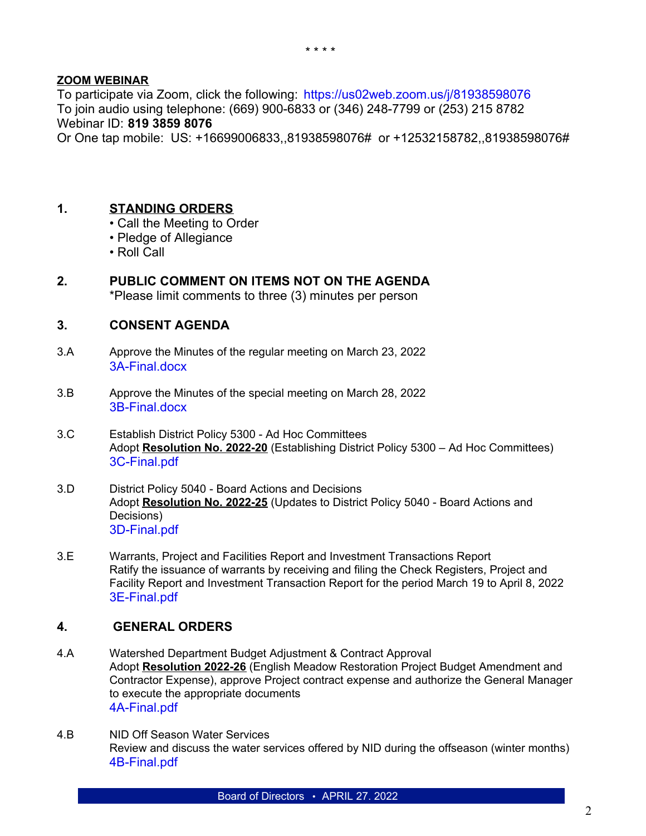#### **ZOOM WEBINAR**

To participate via Zoom, click the following: <https://us02web.zoom.us/j/81938598076> To join audio using telephone: (669) 900-6833 or (346) 248-7799 or (253) 215 8782 Webinar ID: **819 3859 8076**

Or One tap mobile: US: +16699006833,,81938598076# or +12532158782,,81938598076#

#### **1. STANDING ORDERS**

- Call the Meeting to Order
- Pledge of Allegiance
- Roll Call

### **2. PUBLIC COMMENT ON ITEMS NOT ON THE AGENDA**

\*Please limit comments to three (3) minutes per person

#### **3. CONSENT AGENDA**

- 3.A Approve the Minutes of the regular meeting on March 23, 2022 [3A-Final.docx](https://legistarweb-production.s3.amazonaws.com/uploads/attachment/pdf/1344538/Wk_Copy_of_Minutes_03-23-2022.pdf)
- 3.B Approve the Minutes of the special meeting on March 28, 2022 [3B-Final.docx](https://legistarweb-production.s3.amazonaws.com/uploads/attachment/pdf/1343571/Wk_Copy_of_Minutes_03-28-2022.pdf)
- 3.C Establish District Policy 5300 Ad Hoc Committees Adopt **Resolution No. 2022-20** (Establishing District Policy 5300 – Ad Hoc Committees) [3C-Final.pdf](https://legistarweb-production.s3.amazonaws.com/uploads/attachment/pdf/1344668/3C-Final.pdf)
- 3.D District Policy 5040 Board Actions and Decisions Adopt **Resolution No. 2022-25** (Updates to District Policy 5040 - Board Actions and Decisions) [3D-Final.pdf](https://legistarweb-production.s3.amazonaws.com/uploads/attachment/pdf/1344839/3D-Final.pdf)
- 3.E Warrants, Project and Facilities Report and Investment Transactions Report Ratify the issuance of warrants by receiving and filing the Check Registers, Project and Facility Report and Investment Transaction Report for the period March 19 to April 8, 2022 [3E-Final.pdf](https://legistarweb-production.s3.amazonaws.com/uploads/attachment/pdf/1344588/3E-Final.pdf)

#### **4. GENERAL ORDERS**

- 4.A Watershed Department Budget Adjustment & Contract Approval Adopt **Resolution 2022-26** (English Meadow Restoration Project Budget Amendment and Contractor Expense), approve Project contract expense and authorize the General Manager to execute the appropriate documents [4A-Final.pdf](https://legistarweb-production.s3.amazonaws.com/uploads/attachment/pdf/1344758/4A-Final.pdf)
- 4.B NID Off Season Water Services Review and discuss the water services offered by NID during the offseason (winter months) [4B-Final.pdf](https://legistarweb-production.s3.amazonaws.com/uploads/attachment/pdf/1343327/04272022_NID_Off_Season_Water_Services.pdf)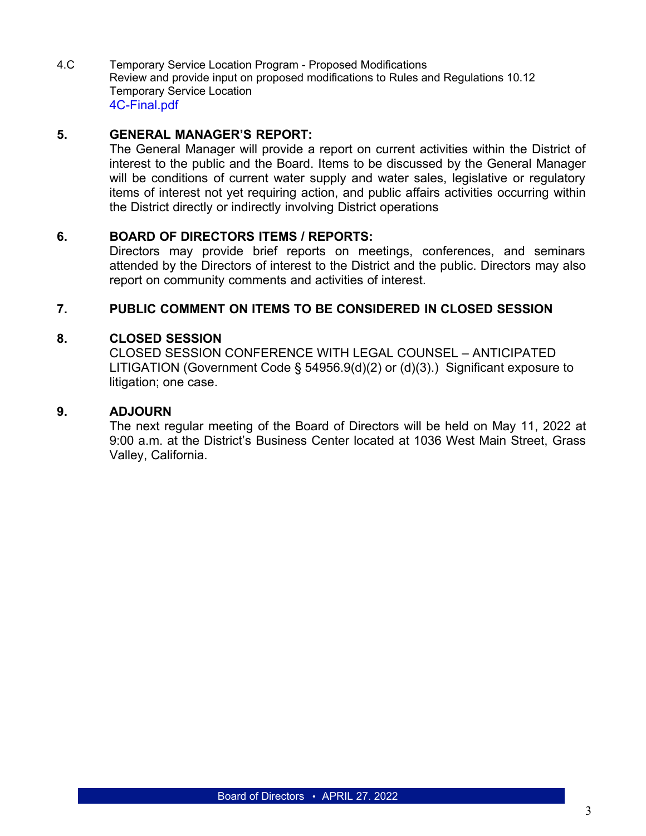4.C Temporary Service Location Program - Proposed Modifications Review and provide input on proposed modifications to Rules and Regulations 10.12 Temporary Service Location [4C-Final.pdf](https://legistarweb-production.s3.amazonaws.com/uploads/attachment/pdf/1344892/4C-Final.pdf)

### **5. GENERAL MANAGER'S REPORT:**

The General Manager will provide a report on current activities within the District of interest to the public and the Board. Items to be discussed by the General Manager will be conditions of current water supply and water sales, legislative or regulatory items of interest not yet requiring action, and public affairs activities occurring within the District directly or indirectly involving District operations

#### **6. BOARD OF DIRECTORS ITEMS / REPORTS:**

Directors may provide brief reports on meetings, conferences, and seminars attended by the Directors of interest to the District and the public. Directors may also report on community comments and activities of interest.

#### **7. PUBLIC COMMENT ON ITEMS TO BE CONSIDERED IN CLOSED SESSION**

#### **8. CLOSED SESSION**

CLOSED SESSION CONFERENCE WITH LEGAL COUNSEL – ANTICIPATED LITIGATION (Government Code § 54956.9(d)(2) or (d)(3).) Significant exposure to litigation; one case.

#### **9. ADJOURN**

The next regular meeting of the Board of Directors will be held on May 11, 2022 at 9:00 a.m. at the District's Business Center located at 1036 West Main Street, Grass Valley, California.